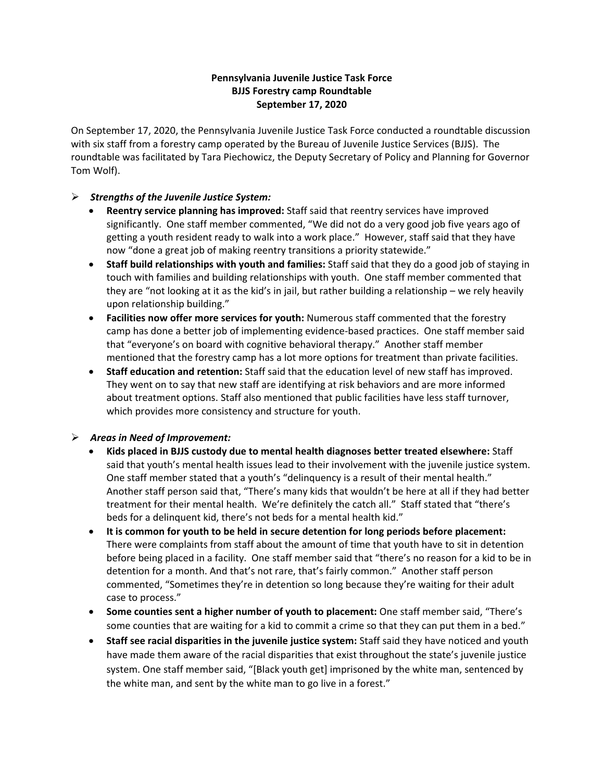## **Pennsylvania Juvenile Justice Task Force BJJS Forestry camp Roundtable September 17, 2020**

On September 17, 2020, the Pennsylvania Juvenile Justice Task Force conducted a roundtable discussion with six staff from a forestry camp operated by the Bureau of Juvenile Justice Services (BJJS). The roundtable was facilitated by Tara Piechowicz, the Deputy Secretary of Policy and Planning for Governor Tom Wolf).

## *Strengths of the Juvenile Justice System:*

- **Reentry service planning has improved:** Staff said that reentry services have improved significantly. One staff member commented, "We did not do a very good job five years ago of getting a youth resident ready to walk into a work place." However, staff said that they have now "done a great job of making reentry transitions a priority statewide."
- **Staff build relationships with youth and families:** Staff said that they do a good job of staying in touch with families and building relationships with youth. One staff member commented that they are "not looking at it as the kid's in jail, but rather building a relationship – we rely heavily upon relationship building."
- **Facilities now offer more services for youth:** Numerous staff commented that the forestry camp has done a better job of implementing evidence-based practices. One staff member said that "everyone's on board with cognitive behavioral therapy." Another staff member mentioned that the forestry camp has a lot more options for treatment than private facilities.
- **Staff education and retention:** Staff said that the education level of new staff has improved. They went on to say that new staff are identifying at risk behaviors and are more informed about treatment options. Staff also mentioned that public facilities have less staff turnover, which provides more consistency and structure for youth.

## *Areas in Need of Improvement:*

- **Kids placed in BJJS custody due to mental health diagnoses better treated elsewhere:** Staff said that youth's mental health issues lead to their involvement with the juvenile justice system. One staff member stated that a youth's "delinquency is a result of their mental health." Another staff person said that, "There's many kids that wouldn't be here at all if they had better treatment for their mental health. We're definitely the catch all." Staff stated that "there's beds for a delinquent kid, there's not beds for a mental health kid."
- **It is common for youth to be held in secure detention for long periods before placement:**  There were complaints from staff about the amount of time that youth have to sit in detention before being placed in a facility. One staff member said that "there's no reason for a kid to be in detention for a month. And that's not rare, that's fairly common." Another staff person commented, "Sometimes they're in detention so long because they're waiting for their adult case to process."
- **Some counties sent a higher number of youth to placement:** One staff member said, "There's some counties that are waiting for a kid to commit a crime so that they can put them in a bed."
- **Staff see racial disparities in the juvenile justice system:** Staff said they have noticed and youth have made them aware of the racial disparities that exist throughout the state's juvenile justice system. One staff member said, "[Black youth get] imprisoned by the white man, sentenced by the white man, and sent by the white man to go live in a forest."